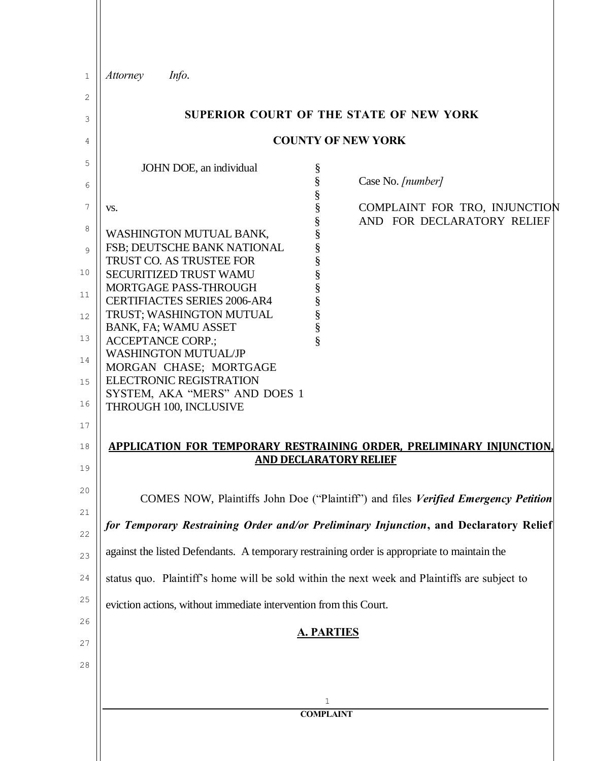| 1                                   | <b>Attorney</b><br>Info.                                                                                                                                                                                                                                                                                                                                                               |
|-------------------------------------|----------------------------------------------------------------------------------------------------------------------------------------------------------------------------------------------------------------------------------------------------------------------------------------------------------------------------------------------------------------------------------------|
| 2                                   |                                                                                                                                                                                                                                                                                                                                                                                        |
| 3                                   | SUPERIOR COURT OF THE STATE OF NEW YORK                                                                                                                                                                                                                                                                                                                                                |
| 4                                   | <b>COUNTY OF NEW YORK</b>                                                                                                                                                                                                                                                                                                                                                              |
| 5<br>6                              | JOHN DOE, an individual<br>§<br>§<br>Case No. [number]                                                                                                                                                                                                                                                                                                                                 |
| 7<br>8<br>9<br>10<br>11<br>12<br>13 | §<br>§<br>COMPLAINT FOR TRO, INJUNCTION<br>VS.<br>§<br>AND FOR DECLARATORY RELIEF<br>§<br>WASHINGTON MUTUAL BANK,<br>§<br>FSB; DEUTSCHE BANK NATIONAL<br>§<br>TRUST CO. AS TRUSTEE FOR<br>§<br><b>SECURITIZED TRUST WAMU</b><br>MORTGAGE PASS-THROUGH<br><b>CERTIFIACTES SERIES 2006-AR4</b><br>§<br>TRUST; WASHINGTON MUTUAL<br>§<br>BANK, FA; WAMU ASSET<br><b>ACCEPTANCE CORP.:</b> |
| 14<br>15<br>16<br>17<br>18          | <b>WASHINGTON MUTUAL/JP</b><br>MORGAN CHASE; MORTGAGE<br><b>ELECTRONIC REGISTRATION</b><br>SYSTEM, AKA "MERS" AND DOES 1<br>THROUGH 100, INCLUSIVE<br>APPLICATION FOR TEMPORARY RESTRAINING ORDER, PRELIMINARY INJUNCTION,                                                                                                                                                             |
| 19                                  | <b>AND DECLARATORY RELIEF</b>                                                                                                                                                                                                                                                                                                                                                          |
| 20<br>21                            | COMES NOW, Plaintiffs John Doe ("Plaintiff") and files Verified Emergency Petition<br>for Temporary Restraining Order and/or Preliminary Injunction, and Declaratory Relief                                                                                                                                                                                                            |
| 22                                  |                                                                                                                                                                                                                                                                                                                                                                                        |
| 23                                  | against the listed Defendants. A temporary restraining order is appropriate to maintain the                                                                                                                                                                                                                                                                                            |
| 24<br>25                            | status quo. Plaintiff's home will be sold within the next week and Plaintiffs are subject to                                                                                                                                                                                                                                                                                           |
| 26                                  | eviction actions, without immediate intervention from this Court.                                                                                                                                                                                                                                                                                                                      |
| 27                                  | <b>A. PARTIES</b>                                                                                                                                                                                                                                                                                                                                                                      |
| 28                                  |                                                                                                                                                                                                                                                                                                                                                                                        |
|                                     | 1<br><b>COMPLAINT</b>                                                                                                                                                                                                                                                                                                                                                                  |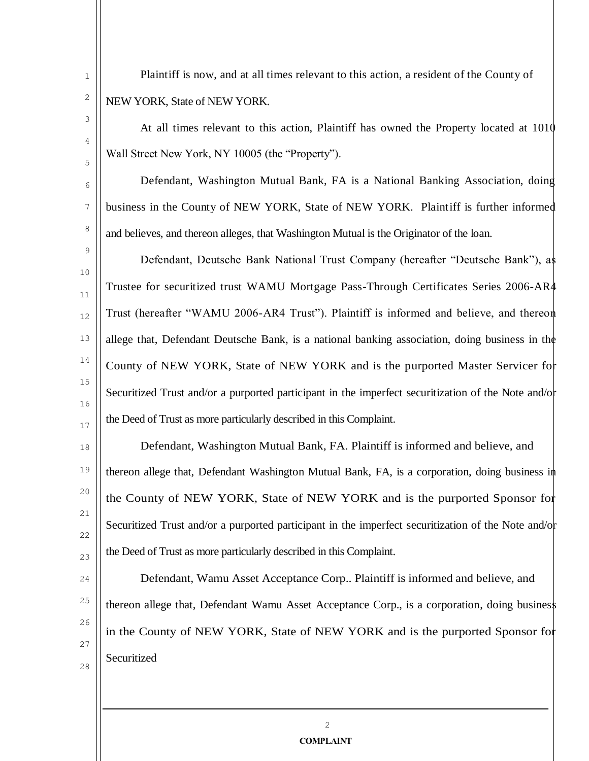Plaintiff is now, and at all times relevant to this action, a resident of the County of NEW YORK, State of NEW YORK.

1

2

3

4

5

6

7

8

9

10

11

12

13

14

15

16

17

18

19

20

21

22

23

At all times relevant to this action, Plaintiff has owned the Property located at 1010 Wall Street New York, NY 10005 (the "Property").

Defendant, Washington Mutual Bank, FA is a National Banking Association, doing business in the County of NEW YORK, State of NEW YORK. Plaintiff is further informed and believes, and thereon alleges, that Washington Mutual is the Originator of the loan.

Defendant, Deutsche Bank National Trust Company (hereafter "Deutsche Bank"), as Trustee for securitized trust WAMU Mortgage Pass-Through Certificates Series 2006-AR4 Trust (hereafter "WAMU 2006-AR4 Trust"). Plaintiff is informed and believe, and thereon allege that, Defendant Deutsche Bank, is a national banking association, doing business in the County of NEW YORK, State of NEW YORK and is the purported Master Servicer for Securitized Trust and/or a purported participant in the imperfect securitization of the Note and/or the Deed of Trust as more particularly described in this Complaint.

Defendant, Washington Mutual Bank, FA. Plaintiff is informed and believe, and thereon allege that, Defendant Washington Mutual Bank, FA, is a corporation, doing business in the County of NEW YORK, State of NEW YORK and is the purported Sponsor for Securitized Trust and/or a purported participant in the imperfect securitization of the Note and/or the Deed of Trust as more particularly described in this Complaint.

 $24$ 25 26 27 28 Defendant, Wamu Asset Acceptance Corp.. Plaintiff is informed and believe, and thereon allege that, Defendant Wamu Asset Acceptance Corp., is a corporation, doing busines in the County of NEW YORK, State of NEW YORK and is the purported Sponsor for Securitized

> $\mathcal{L}$ **COMPLAINT**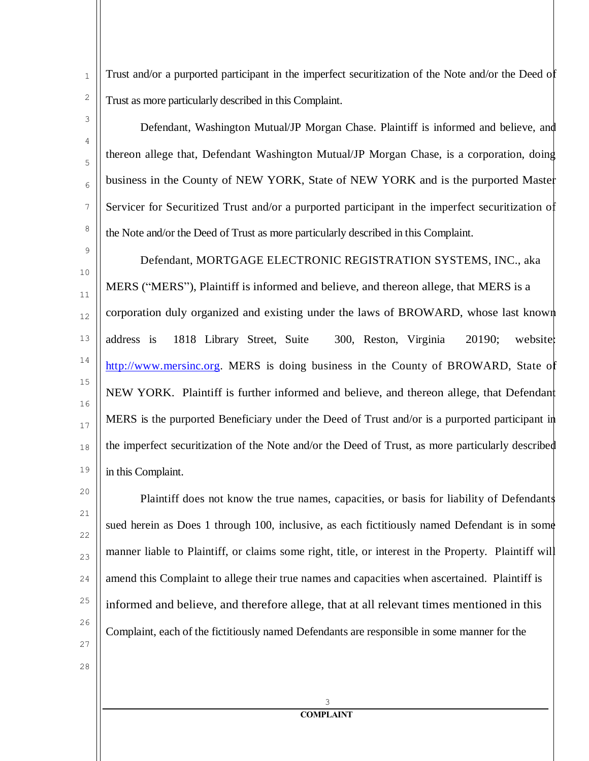Trust and/or a purported participant in the imperfect securitization of the Note and/or the Deed of Trust as more particularly described in this Complaint.

Defendant, Washington Mutual/JP Morgan Chase. Plaintiff is informed and believe, and thereon allege that, Defendant Washington Mutual/JP Morgan Chase, is a corporation, doing business in the County of NEW YORK, State of NEW YORK and is the purported Master Servicer for Securitized Trust and/or a purported participant in the imperfect securitization of the Note and/or the Deed of Trust as more particularly described in this Complaint.

10 11 12 13 14 15 16 17 18 19 Defendant, MORTGAGE ELECTRONIC REGISTRATION SYSTEMS, INC., aka MERS ("MERS"), Plaintiff is informed and believe, and thereon allege, that MERS is a corporation duly organized and existing under the laws of BROWARD, whose last known address is 1818 Library Street, Suite 300, Reston, Virginia 20190; website: [http://www.mersinc.org.](http://www.mersinc.org/) MERS is doing business in the County of BROWARD, State of NEW YORK. Plaintiff is further informed and believe, and thereon allege, that Defendant MERS is the purported Beneficiary under the Deed of Trust and/or is a purported participant in the imperfect securitization of the Note and/or the Deed of Trust, as more particularly described in this Complaint.

Plaintiff does not know the true names, capacities, or basis for liability of Defendants sued herein as Does 1 through 100, inclusive, as each fictitiously named Defendant is in some manner liable to Plaintiff, or claims some right, title, or interest in the Property. Plaintiff will amend this Complaint to allege their true names and capacities when ascertained. Plaintiff is informed and believe, and therefore allege, that at all relevant times mentioned in this Complaint, each of the fictitiously named Defendants are responsible in some manner for the

28

20

21

22

23

 $24$ 

25

26

27

1

2

3

4

5

6

7

8

9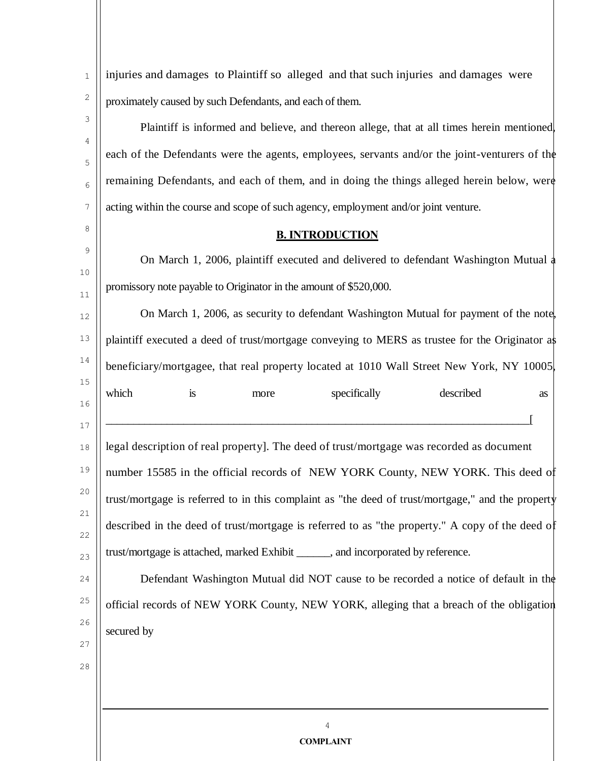| injuries and damages to Plaintiff so alleged and that such injuries and damages were              |                  |
|---------------------------------------------------------------------------------------------------|------------------|
| proximately caused by such Defendants, and each of them.                                          |                  |
| Plaintiff is informed and believe, and thereon allege, that at all times herein mentioned,        |                  |
| each of the Defendants were the agents, employees, servants and/or the joint-venturers of the     |                  |
| remaining Defendants, and each of them, and in doing the things alleged herein below, were        |                  |
| acting within the course and scope of such agency, employment and/or joint venture.               |                  |
| <b>B. INTRODUCTION</b>                                                                            |                  |
| On March 1, 2006, plaintiff executed and delivered to defendant Washington Mutual a               |                  |
| promissory note payable to Originator in the amount of \$520,000.                                 |                  |
| On March 1, 2006, as security to defendant Washington Mutual for payment of the note              |                  |
| plaintiff executed a deed of trust/mortgage conveying to MERS as trustee for the Originator as    |                  |
| beneficiary/mortgagee, that real property located at 1010 Wall Street New York, NY 10005          |                  |
| which<br>is<br>specifically<br>described<br>more<br><b>as</b>                                     |                  |
|                                                                                                   |                  |
| legal description of real property]. The deed of trust/mortgage was recorded as document          |                  |
| number 15585 in the official records of NEW YORK County, NEW YORK. This deed of                   |                  |
| trust/mortgage is referred to in this complaint as "the deed of trust/mortgage," and the property |                  |
| described in the deed of trust/mortgage is referred to as "the property." A copy of the deed of   |                  |
| trust/mortgage is attached, marked Exhibit ______, and incorporated by reference.                 |                  |
| Defendant Washington Mutual did NOT cause to be recorded a notice of default in the               |                  |
| official records of NEW YORK County, NEW YORK, alleging that a breach of the obligation           |                  |
| secured by                                                                                        |                  |
|                                                                                                   |                  |
|                                                                                                   |                  |
|                                                                                                   |                  |
| 4                                                                                                 |                  |
|                                                                                                   | <b>COMPLAINT</b> |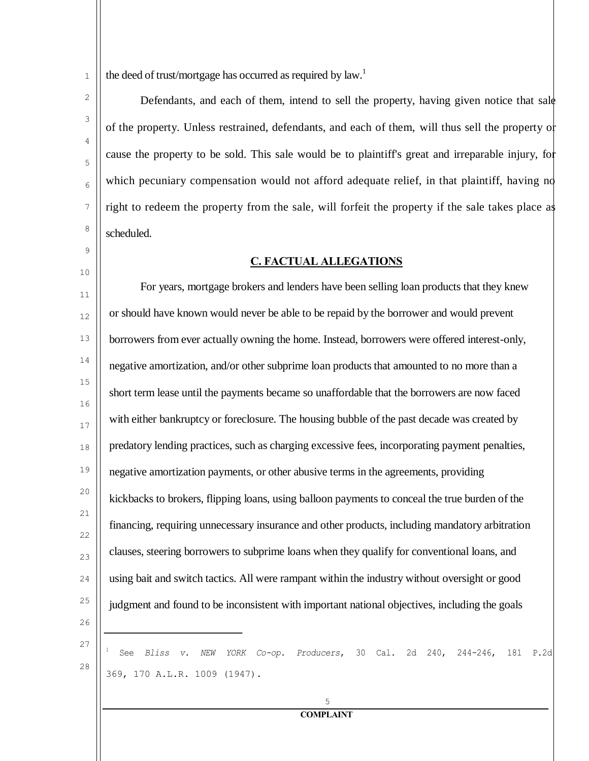1 the deed of trust/mortgage has occurred as required by law.<sup>1</sup>

Defendants, and each of them, intend to sell the property, having given notice that sale of the property. Unless restrained, defendants, and each of them, will thus sell the property or cause the property to be sold. This sale would be to plaintiff's great and irreparable injury, for which pecuniary compensation would not afford adequate relief, in that plaintiff, having no right to redeem the property from the sale, will forfeit the property if the sale takes place as scheduled.

## **C. FACTUAL ALLEGATIONS**

11 12 13 14 15 16 17 18 19 20 21 22 23  $24$ 25 26 For years, mortgage brokers and lenders have been selling loan products that they knew or should have known would never be able to be repaid by the borrower and would prevent borrowers from ever actually owning the home. Instead, borrowers were offered interest-only, negative amortization, and/or other subprime loan products that amounted to no more than a short term lease until the payments became so unaffordable that the borrowers are now faced with either bankruptcy or foreclosure. The housing bubble of the past decade was created by predatory lending practices, such as charging excessive fees, incorporating payment penalties, negative amortization payments, or other abusive terms in the agreements, providing kickbacks to brokers, flipping loans, using balloon payments to conceal the true burden of the financing, requiring unnecessary insurance and other products, including mandatory arbitration clauses, steering borrowers to subprime loans when they qualify for conventional loans, and using bait and switch tactics. All were rampant within the industry without oversight or good judgment and found to be inconsistent with important national objectives, including the goals

27

28

2

3

4

5

6

7

8

9

10

<sup>1</sup> See *Bliss v. NEW YORK Co-op. Producers*, 30 Cal. 2d 240, 244-246, 181 P.2d 369, 170 A.L.R. 1009 (1947).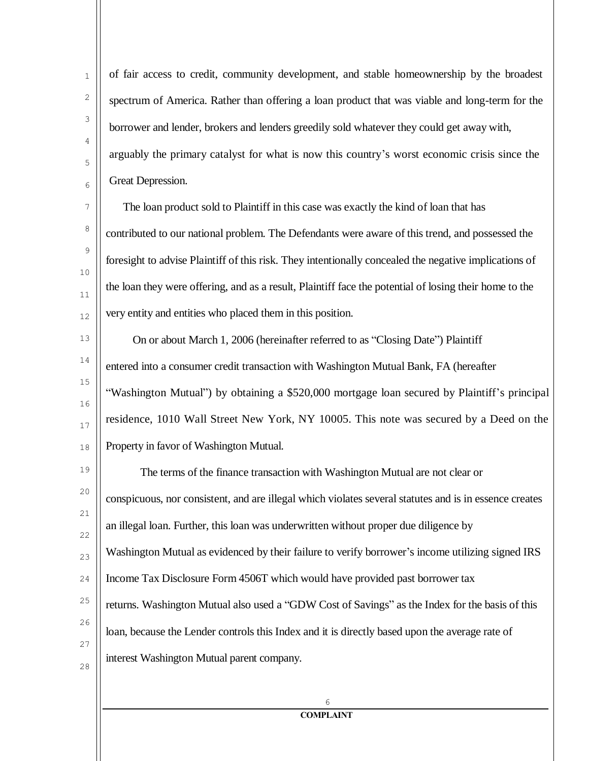of fair access to credit, community development, and stable homeownership by the broadest spectrum of America. Rather than offering a loan product that was viable and long-term for the borrower and lender, brokers and lenders greedily sold whatever they could get away with, arguably the primary catalyst for what is now this country's worst economic crisis since the Great Depression.

The loan product sold to Plaintiff in this case was exactly the kind of loan that has contributed to our national problem. The Defendants were aware of this trend, and possessed the foresight to advise Plaintiff of this risk. They intentionally concealed the negative implications of the loan they were offering, and as a result, Plaintiff face the potential of losing their home to the very entity and entities who placed them in this position.

On or about March 1, 2006 (hereinafter referred to as "Closing Date") Plaintiff entered into a consumer credit transaction with Washington Mutual Bank, FA (hereafter "Washington Mutual") by obtaining a \$520,000 mortgage loan secured by Plaintiff's principal residence, 1010 Wall Street New York, NY 10005. This note was secured by a Deed on the Property in favor of Washington Mutual.

20 21 22 23  $24$ 25 26 27 28 The terms of the finance transaction with Washington Mutual are not clear or conspicuous, nor consistent, and are illegal which violates several statutes and is in essence creates an illegal loan. Further, this loan was underwritten without proper due diligence by Washington Mutual as evidenced by their failure to verify borrower's income utilizing signed IRS Income Tax Disclosure Form 4506T which would have provided past borrower tax returns. Washington Mutual also used a "GDW Cost of Savings" as the Index for the basis of this loan, because the Lender controls this Index and it is directly based upon the average rate of interest Washington Mutual parent company.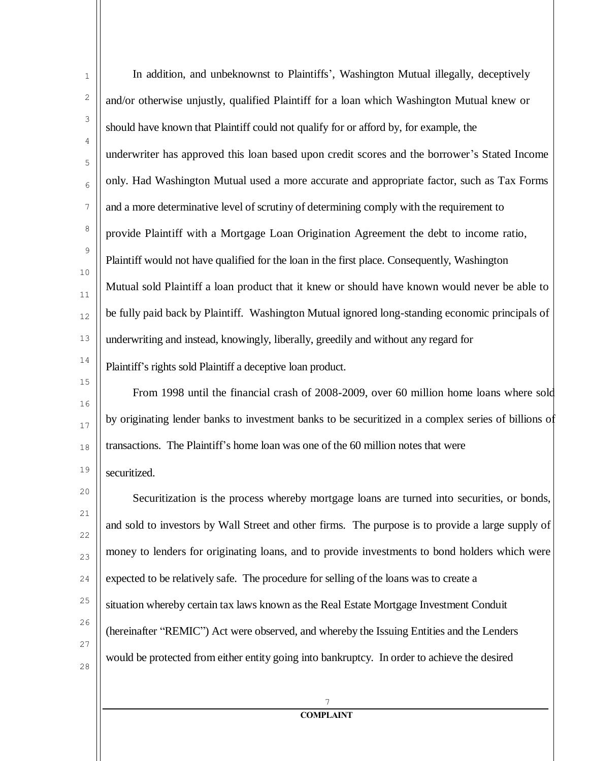| $\mathbf{1}$ | In addition, and unbeknownst to Plaintiffs', Washington Mutual illegally, deceptively                |  |
|--------------|------------------------------------------------------------------------------------------------------|--|
| 2            | and/or otherwise unjustly, qualified Plaintiff for a loan which Washington Mutual knew or            |  |
| 3            | should have known that Plaintiff could not qualify for or afford by, for example, the                |  |
| 4<br>5       | underwriter has approved this loan based upon credit scores and the borrower's Stated Income         |  |
| 6            | only. Had Washington Mutual used a more accurate and appropriate factor, such as Tax Forms           |  |
| 7            | and a more determinative level of scrutiny of determining comply with the requirement to             |  |
| 8            | provide Plaintiff with a Mortgage Loan Origination Agreement the debt to income ratio,               |  |
| 9            | Plaintiff would not have qualified for the loan in the first place. Consequently, Washington         |  |
| $10\,$<br>11 | Mutual sold Plaintiff a loan product that it knew or should have known would never be able to        |  |
| 12           | be fully paid back by Plaintiff. Washington Mutual ignored long-standing economic principals of      |  |
| 13           | underwriting and instead, knowingly, liberally, greedily and without any regard for                  |  |
| $1\,4$       | Plaintiff's rights sold Plaintiff a deceptive loan product.                                          |  |
| $15\,$       | From 1998 until the financial crash of 2008-2009, over 60 million home loans where sold              |  |
| 16<br>$17\,$ | by originating lender banks to investment banks to be securitized in a complex series of billions of |  |
| $1\,8$       | transactions. The Plaintiff's home loan was one of the 60 million notes that were                    |  |
| 19           | securitized.                                                                                         |  |
| 20           | Securitization is the process whereby mortgage loans are turned into securities, or bonds,           |  |
| $21\,$<br>22 | and sold to investors by Wall Street and other firms. The purpose is to provide a large supply of    |  |
| 23           | money to lenders for originating loans, and to provide investments to bond holders which were        |  |
| 24           | expected to be relatively safe. The procedure for selling of the loans was to create a               |  |
| 25           | situation whereby certain tax laws known as the Real Estate Mortgage Investment Conduit              |  |
| 26           | (hereinafter "REMIC") Act were observed, and whereby the Issuing Entities and the Lenders            |  |
| 27<br>$2\,8$ | would be protected from either entity going into bankruptcy. In order to achieve the desired         |  |
|              |                                                                                                      |  |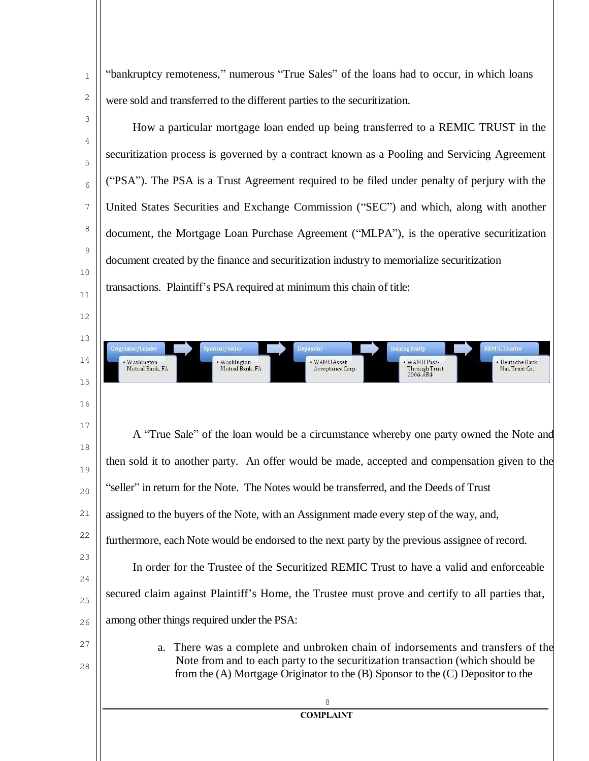"bankruptcy remoteness," numerous "True Sales" of the loans had to occur, in which loans were sold and transferred to the different parties to the securitization.

1

2

3

4

5

6

7

8

9

10

11

12

13

iginator/Lender

• Washington<br>Mutual Bank, FA

nsor/Seller

• Washington<br>Mutual Bank, FA

14

15

16

How a particular mortgage loan ended up being transferred to a REMIC TRUST in the securitization process is governed by a contract known as a Pooling and Servicing Agreement ("PSA"). The PSA is a Trust Agreement required to be filed under penalty of perjury with the United States Securities and Exchange Commission ("SEC") and which, along with another document, the Mortgage Loan Purchase Agreement ("MLPA"), is the operative securitization document created by the finance and securitization industry to memorialize securitization transactions. Plaintiff's PSA required at minimum this chain of title:

epositor

• WAMU Asset<br>Acceptance Corp.

ing Entity

WAMU Pass-

 $2006 - \AA R4$ 

Through Trust

**EMICTrustee** 

Deutsche Bank

Nat. Trust Co.

17 18 19 20 21 22 23  $24$  $25$ 26 27 28 A "True Sale" of the loan would be a circumstance whereby one party owned the Note and then sold it to another party. An offer would be made, accepted and compensation given to the "seller" in return for the Note. The Notes would be transferred, and the Deeds of Trust assigned to the buyers of the Note, with an Assignment made every step of the way, and, furthermore, each Note would be endorsed to the next party by the previous assignee of record. In order for the Trustee of the Securitized REMIC Trust to have a valid and enforceable secured claim against Plaintiff's Home, the Trustee must prove and certify to all parties that, among other things required under the PSA: a. There was a complete and unbroken chain of indorsements and transfers of the Note from and to each party to the securitization transaction (which should be from the (A) Mortgage Originator to the (B) Sponsor to the (C) Depositor to the 8 **COMPLAINT**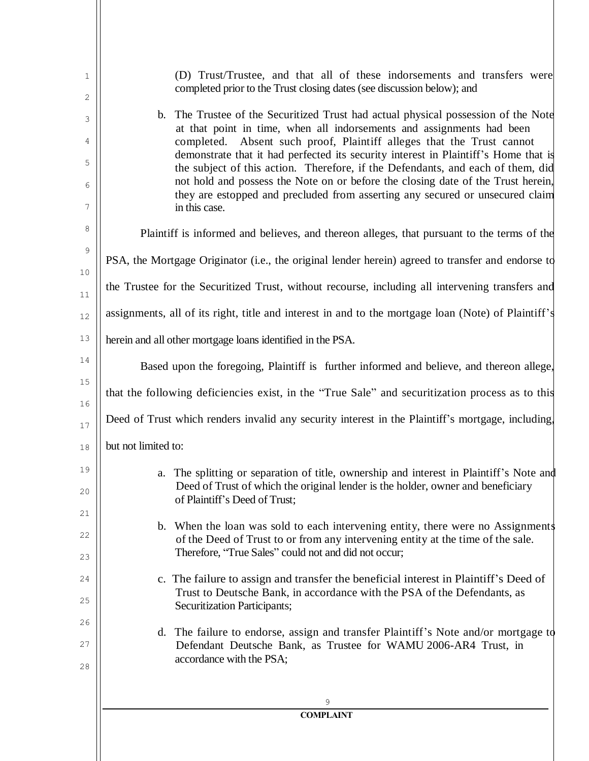| 1                          | (D) Trust/Trustee, and that all of these indorsements and transfers were<br>completed prior to the Trust closing dates (see discussion below); and                                                                                                                                                                                                                                                                                                                                                                                                                                                   |
|----------------------------|------------------------------------------------------------------------------------------------------------------------------------------------------------------------------------------------------------------------------------------------------------------------------------------------------------------------------------------------------------------------------------------------------------------------------------------------------------------------------------------------------------------------------------------------------------------------------------------------------|
| 2<br>3<br>4<br>5<br>6<br>7 | b. The Trustee of the Securitized Trust had actual physical possession of the Note<br>at that point in time, when all indorsements and assignments had been<br>completed. Absent such proof, Plaintiff alleges that the Trust cannot<br>demonstrate that it had perfected its security interest in Plaintiff's Home that is<br>the subject of this action. Therefore, if the Defendants, and each of them, did<br>not hold and possess the Note on or before the closing date of the Trust herein,<br>they are estopped and precluded from asserting any secured or unsecured claim<br>in this case. |
| 8                          | Plaintiff is informed and believes, and thereon alleges, that pursuant to the terms of the                                                                                                                                                                                                                                                                                                                                                                                                                                                                                                           |
| 9                          | PSA, the Mortgage Originator (i.e., the original lender herein) agreed to transfer and endorse to                                                                                                                                                                                                                                                                                                                                                                                                                                                                                                    |
| 10<br>11                   | the Trustee for the Securitized Trust, without recourse, including all intervening transfers and                                                                                                                                                                                                                                                                                                                                                                                                                                                                                                     |
| 12                         | assignments, all of its right, title and interest in and to the mortgage loan (Note) of Plaintiff's                                                                                                                                                                                                                                                                                                                                                                                                                                                                                                  |
| 13                         | herein and all other mortgage loans identified in the PSA.                                                                                                                                                                                                                                                                                                                                                                                                                                                                                                                                           |
| 14                         | Based upon the foregoing, Plaintiff is further informed and believe, and thereon allege,                                                                                                                                                                                                                                                                                                                                                                                                                                                                                                             |
| 15                         | that the following deficiencies exist, in the "True Sale" and securitization process as to this                                                                                                                                                                                                                                                                                                                                                                                                                                                                                                      |
| 16<br>17                   | Deed of Trust which renders invalid any security interest in the Plaintiff's mortgage, including,                                                                                                                                                                                                                                                                                                                                                                                                                                                                                                    |
| 18                         | but not limited to:                                                                                                                                                                                                                                                                                                                                                                                                                                                                                                                                                                                  |
| 19<br>20                   | a. The splitting or separation of title, ownership and interest in Plaintiff's Note and<br>Deed of Trust of which the original lender is the holder, owner and beneficiary<br>of Plaintiff's Deed of Trust;                                                                                                                                                                                                                                                                                                                                                                                          |
| 21<br>22<br>23             | b. When the loan was sold to each intervening entity, there were no Assignments<br>of the Deed of Trust to or from any intervening entity at the time of the sale.<br>Therefore, "True Sales" could not and did not occur;                                                                                                                                                                                                                                                                                                                                                                           |
| 24<br>25                   | c. The failure to assign and transfer the beneficial interest in Plaintiff's Deed of<br>Trust to Deutsche Bank, in accordance with the PSA of the Defendants, as<br><b>Securitization Participants;</b>                                                                                                                                                                                                                                                                                                                                                                                              |
| 26<br>27<br>28             | d. The failure to endorse, assign and transfer Plaintiff's Note and/or mortgage to<br>Defendant Deutsche Bank, as Trustee for WAMU 2006-AR4 Trust, in<br>accordance with the PSA;                                                                                                                                                                                                                                                                                                                                                                                                                    |
|                            | 9                                                                                                                                                                                                                                                                                                                                                                                                                                                                                                                                                                                                    |
|                            | <b>COMPLAINT</b>                                                                                                                                                                                                                                                                                                                                                                                                                                                                                                                                                                                     |
|                            |                                                                                                                                                                                                                                                                                                                                                                                                                                                                                                                                                                                                      |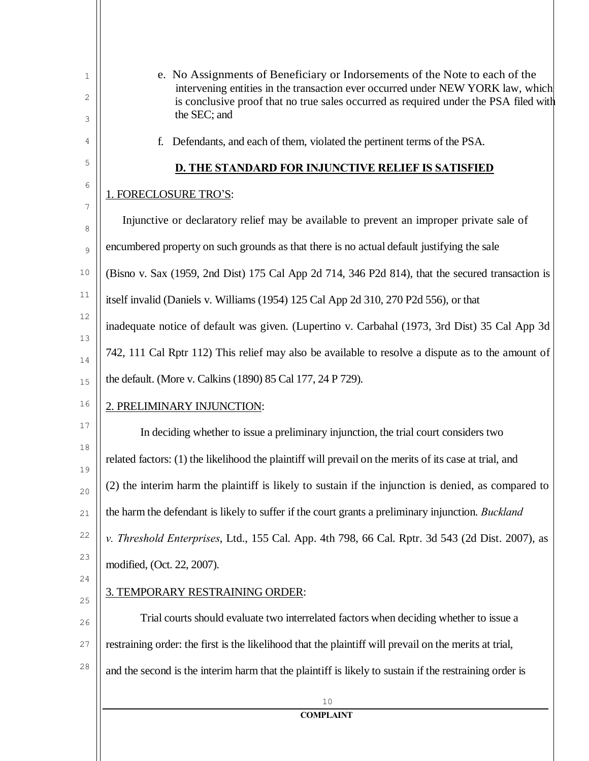| 1<br>2<br>3 | e. No Assignments of Beneficiary or Indorsements of the Note to each of the<br>intervening entities in the transaction ever occurred under NEW YORK law, which<br>is conclusive proof that no true sales occurred as required under the PSA filed with<br>the SEC; and |
|-------------|------------------------------------------------------------------------------------------------------------------------------------------------------------------------------------------------------------------------------------------------------------------------|
| 4           | Defendants, and each of them, violated the pertinent terms of the PSA.<br>f.                                                                                                                                                                                           |
| 5           | <b>D. THE STANDARD FOR INJUNCTIVE RELIEF IS SATISFIED</b>                                                                                                                                                                                                              |
| 6           | 1. FORECLOSURE TRO'S:                                                                                                                                                                                                                                                  |
| 7<br>8      | Injunctive or declaratory relief may be available to prevent an improper private sale of                                                                                                                                                                               |
| 9           | encumbered property on such grounds as that there is no actual default justifying the sale                                                                                                                                                                             |
| $10$        | (Bisno v. Sax (1959, 2nd Dist) 175 Cal App 2d 714, 346 P2d 814), that the secured transaction is                                                                                                                                                                       |
| 11          | itself invalid (Daniels v. Williams (1954) 125 Cal App 2d 310, 270 P2d 556), or that                                                                                                                                                                                   |
| 12          | inadequate notice of default was given. (Lupertino v. Carbahal (1973, 3rd Dist) 35 Cal App 3d                                                                                                                                                                          |
| 13<br>14    | 742, 111 Cal Rptr 112) This relief may also be available to resolve a dispute as to the amount of                                                                                                                                                                      |
| 15          | the default. (More v. Calkins (1890) 85 Cal 177, 24 P 729).                                                                                                                                                                                                            |
| 16          | 2. PRELIMINARY INJUNCTION:                                                                                                                                                                                                                                             |
| 17          | In deciding whether to issue a preliminary injunction, the trial court considers two                                                                                                                                                                                   |
| 18<br>19    | related factors: (1) the likelihood the plaintiff will prevail on the merits of its case at trial, and                                                                                                                                                                 |
| 20          | (2) the interim harm the plaintiff is likely to sustain if the injunction is denied, as compared to                                                                                                                                                                    |
| 21          | the harm the defendant is likely to suffer if the court grants a preliminary injunction. Buckland                                                                                                                                                                      |
| 22          | v. Threshold Enterprises, Ltd., 155 Cal. App. 4th 798, 66 Cal. Rptr. 3d 543 (2d Dist. 2007), as                                                                                                                                                                        |
| 23          | modified, (Oct. 22, 2007).                                                                                                                                                                                                                                             |
| 24<br>25    | 3. TEMPORARY RESTRAINING ORDER:                                                                                                                                                                                                                                        |
| 26          | Trial courts should evaluate two interrelated factors when deciding whether to issue a                                                                                                                                                                                 |
| 27          | restraining order: the first is the likelihood that the plaintiff will prevail on the merits at trial,                                                                                                                                                                 |
| 28          | and the second is the interim harm that the plaintiff is likely to sustain if the restraining order is                                                                                                                                                                 |
|             | 10                                                                                                                                                                                                                                                                     |
|             | <b>COMPLAINT</b>                                                                                                                                                                                                                                                       |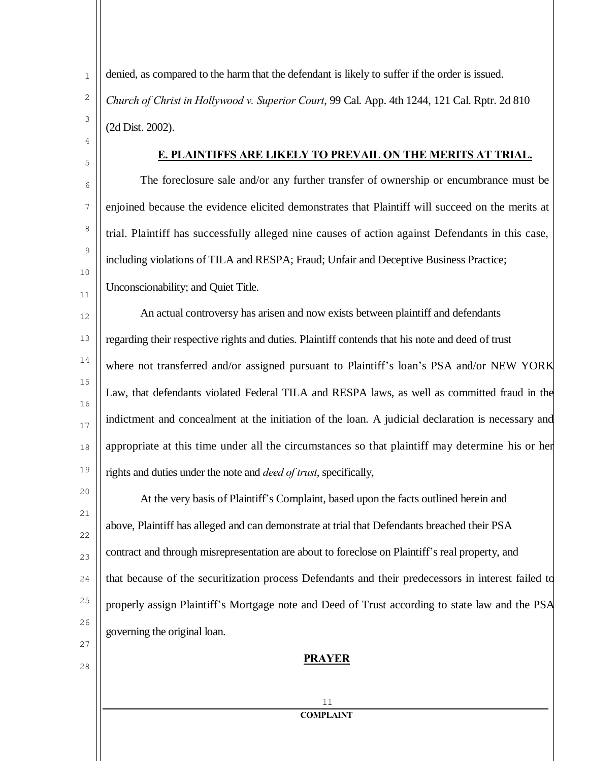1 2 3 denied, as compared to the harm that the defendant is likely to suffer if the order is issued. *Church of Christ in Hollywood v. Superior Court*, 99 Cal. App. 4th 1244, 121 Cal. Rptr. 2d 810 (2d Dist. 2002).

4

5

6

7

8

9

10

11

27

28

## **E. PLAINTIFFS ARE LIKELY TO PREVAIL ON THE MERITS AT TRIAL.**

The foreclosure sale and/or any further transfer of ownership or encumbrance must be enjoined because the evidence elicited demonstrates that Plaintiff will succeed on the merits at trial. Plaintiff has successfully alleged nine causes of action against Defendants in this case, including violations of TILA and RESPA; Fraud; Unfair and Deceptive Business Practice; Unconscionability; and Quiet Title.

12 13 14 15 16 17 18 19 An actual controversy has arisen and now exists between plaintiff and defendants regarding their respective rights and duties. Plaintiff contends that his note and deed of trust where not transferred and/or assigned pursuant to Plaintiff's loan's PSA and/or NEW YORK Law, that defendants violated Federal TILA and RESPA laws, as well as committed fraud in the indictment and concealment at the initiation of the loan. A judicial declaration is necessary and appropriate at this time under all the circumstances so that plaintiff may determine his or her rights and duties under the note and *deed of trust*, specifically,

20 21 22 23  $24$ 25 26 At the very basis of Plaintiff's Complaint, based upon the facts outlined herein and above, Plaintiff has alleged and can demonstrate at trial that Defendants breached their PSA contract and through misrepresentation are about to foreclose on Plaintiff's real property, and that because of the securitization process Defendants and their predecessors in interest failed to properly assign Plaintiff's Mortgage note and Deed of Trust according to state law and the PSA governing the original loan.

## **PRAYER**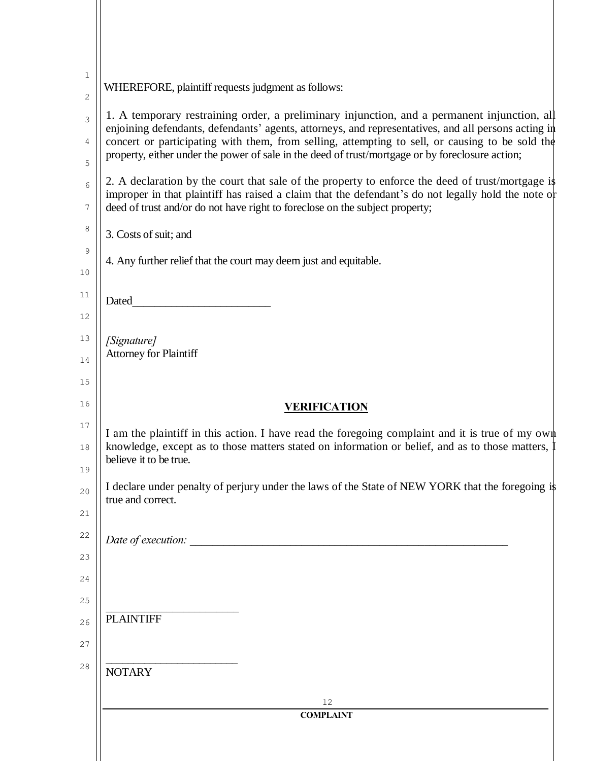| 1              |                                                                                                                                                                                                                                                                                                                                                                                                           |
|----------------|-----------------------------------------------------------------------------------------------------------------------------------------------------------------------------------------------------------------------------------------------------------------------------------------------------------------------------------------------------------------------------------------------------------|
| 2              | WHEREFORE, plaintiff requests judgment as follows:                                                                                                                                                                                                                                                                                                                                                        |
| 3<br>4<br>5    | 1. A temporary restraining order, a preliminary injunction, and a permanent injunction, all<br>enjoining defendants, defendants' agents, attorneys, and representatives, and all persons acting in<br>concert or participating with them, from selling, attempting to sell, or causing to be sold the<br>property, either under the power of sale in the deed of trust/mortgage or by foreclosure action; |
| 6<br>7         | 2. A declaration by the court that sale of the property to enforce the deed of trust/mortgage is<br>improper in that plaintiff has raised a claim that the defendant's do not legally hold the note of<br>deed of trust and/or do not have right to foreclose on the subject property;                                                                                                                    |
| 8              | 3. Costs of suit; and                                                                                                                                                                                                                                                                                                                                                                                     |
| 9<br>10        | 4. Any further relief that the court may deem just and equitable.                                                                                                                                                                                                                                                                                                                                         |
| 11             | Dated                                                                                                                                                                                                                                                                                                                                                                                                     |
| 12<br>13       |                                                                                                                                                                                                                                                                                                                                                                                                           |
| 14             | [Signature]<br><b>Attorney for Plaintiff</b>                                                                                                                                                                                                                                                                                                                                                              |
| 15             |                                                                                                                                                                                                                                                                                                                                                                                                           |
| 16             | <b>VERIFICATION</b>                                                                                                                                                                                                                                                                                                                                                                                       |
| 17<br>18<br>19 | I am the plaintiff in this action. I have read the foregoing complaint and it is true of my own<br>knowledge, except as to those matters stated on information or belief, and as to those matters, 1<br>believe it to be true.                                                                                                                                                                            |
| 20<br>21       | I declare under penalty of perjury under the laws of the State of NEW YORK that the foregoing is<br>true and correct.                                                                                                                                                                                                                                                                                     |
| 22             | Date of execution:                                                                                                                                                                                                                                                                                                                                                                                        |
| 23             |                                                                                                                                                                                                                                                                                                                                                                                                           |
| 24             |                                                                                                                                                                                                                                                                                                                                                                                                           |
| 25             |                                                                                                                                                                                                                                                                                                                                                                                                           |
| 26<br>27       | <b>PLAINTIFF</b>                                                                                                                                                                                                                                                                                                                                                                                          |
| 28             | <b>NOTARY</b>                                                                                                                                                                                                                                                                                                                                                                                             |
|                | 12                                                                                                                                                                                                                                                                                                                                                                                                        |
|                | <b>COMPLAINT</b>                                                                                                                                                                                                                                                                                                                                                                                          |
|                |                                                                                                                                                                                                                                                                                                                                                                                                           |
|                |                                                                                                                                                                                                                                                                                                                                                                                                           |